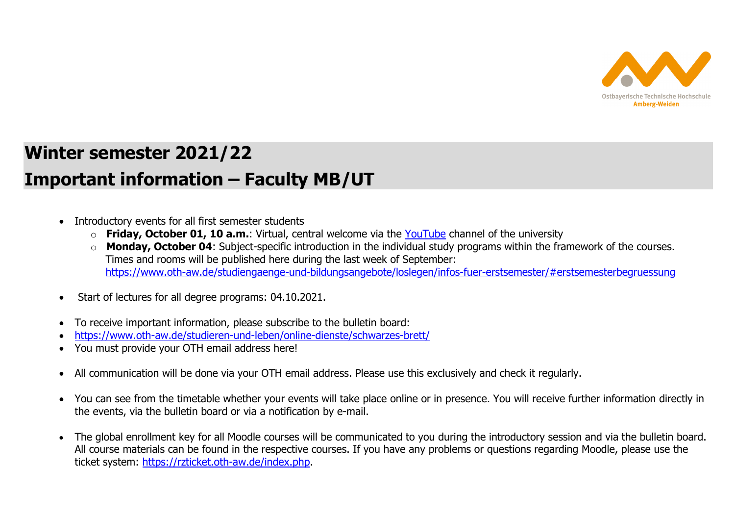

## **Winter semester 2021/22 Important information – Faculty MB/UT**

- Introductory events for all first semester students
	- o **Friday, October 01, 10 a.m.**: Virtual, central welcome via the YouTube channel of the university
	- **Monday, October 04**: Subject-specific introduction in the individual study programs within the framework of the courses. Times and rooms will be published here during the last week of September: https://www.oth-aw.de/studiengaenge-und-bildungsangebote/loslegen/infos-fuer-erstsemester/#erstsemesterbegruessung
- Start of lectures for all degree programs: 04.10.2021.
- 0 To receive important information, please subscribe to the bulletin board:
- 0 https://www.oth-aw.de/studieren-und-leben/online-dienste/schwarzes-brett/
- 0 You must provide your OTH email address here!
- $\bullet$ All communication will be done via your OTH email address. Please use this exclusively and check it regularly.
- You can see from the timetable whether your events will take place online or in presence. You will receive further information directly in the events, via the bulletin board or via a notification by e-mail.
- 0 The global enrollment key for all Moodle courses will be communicated to you during the introductory session and via the bulletin board. All course materials can be found in the respective courses. If you have any problems or questions regarding Moodle, please use the ticket system: https://rzticket.oth-aw.de/index.php.